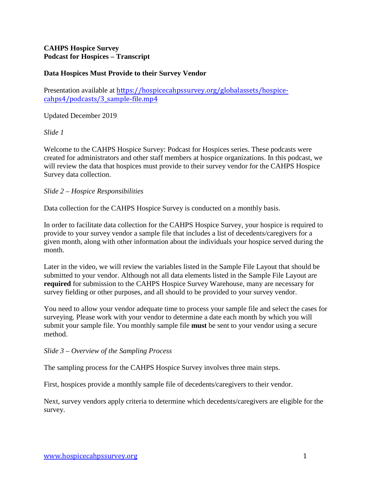# **CAHPS Hospice Survey Podcast for Hospices – Transcript**

# **Data Hospices Must Provide to their Survey Vendor**

Presentation available at [https://hospicecahpssurvey.org/globalassets/hospice](https://hospicecahpssurvey.org/globalassets/hospice-cahps/podcasts/3_sample-file.mp4)cahps4[/podcasts/3\\_sample-file.mp4](https://hospicecahpssurvey.org/globalassets/hospice-cahps/podcasts/3_sample-file.mp4)

Updated December 2019

*Slide 1* 

Welcome to the CAHPS Hospice Survey: Podcast for Hospices series. These podcasts were created for administrators and other staff members at hospice organizations. In this podcast, we will review the data that hospices must provide to their survey vendor for the CAHPS Hospice Survey data collection.

## *Slide 2 – Hospice Responsibilities*

Data collection for the CAHPS Hospice Survey is conducted on a monthly basis.

In order to facilitate data collection for the CAHPS Hospice Survey, your hospice is required to provide to your survey vendor a sample file that includes a list of decedents/caregivers for a given month, along with other information about the individuals your hospice served during the month.

Later in the video, we will review the variables listed in the Sample File Layout that should be submitted to your vendor. Although not all data elements listed in the Sample File Layout are **required** for submission to the CAHPS Hospice Survey Warehouse, many are necessary for survey fielding or other purposes, and all should to be provided to your survey vendor.

You need to allow your vendor adequate time to process your sample file and select the cases for surveying. Please work with your vendor to determine a date each month by which you will submit your sample file. You monthly sample file **must** be sent to your vendor using a secure method.

*Slide 3 – Overview of the Sampling Process* 

The sampling process for the CAHPS Hospice Survey involves three main steps.

First, hospices provide a monthly sample file of decedents/caregivers to their vendor.

Next, survey vendors apply criteria to determine which decedents/caregivers are eligible for the survey.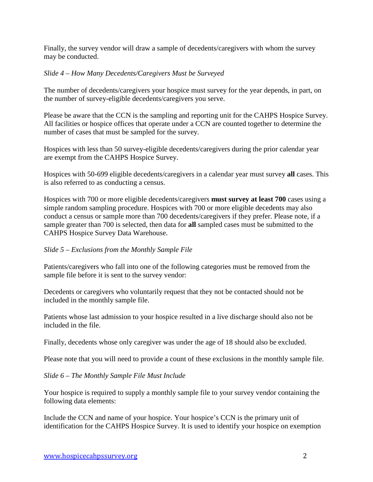Finally, the survey vendor will draw a sample of decedents/caregivers with whom the survey may be conducted.

## *Slide 4 – How Many Decedents/Caregivers Must be Surveyed*

The number of decedents/caregivers your hospice must survey for the year depends, in part, on the number of survey-eligible decedents/caregivers you serve.

Please be aware that the CCN is the sampling and reporting unit for the CAHPS Hospice Survey. All facilities or hospice offices that operate under a CCN are counted together to determine the number of cases that must be sampled for the survey.

Hospices with less than 50 survey-eligible decedents/caregivers during the prior calendar year are exempt from the CAHPS Hospice Survey.

Hospices with 50-699 eligible decedents/caregivers in a calendar year must survey **all** cases. This is also referred to as conducting a census.

Hospices with 700 or more eligible decedents/caregivers **must survey at least 700** cases using a simple random sampling procedure. Hospices with 700 or more eligible decedents may also conduct a census or sample more than 700 decedents/caregivers if they prefer. Please note, if a sample greater than 700 is selected, then data for **all** sampled cases must be submitted to the CAHPS Hospice Survey Data Warehouse.

#### *Slide 5 – Exclusions from the Monthly Sample File*

Patients/caregivers who fall into one of the following categories must be removed from the sample file before it is sent to the survey vendor:

Decedents or caregivers who voluntarily request that they not be contacted should not be included in the monthly sample file.

Patients whose last admission to your hospice resulted in a live discharge should also not be included in the file.

Finally, decedents whose only caregiver was under the age of 18 should also be excluded.

Please note that you will need to provide a count of these exclusions in the monthly sample file.

*Slide 6 – The Monthly Sample File Must Include* 

Your hospice is required to supply a monthly sample file to your survey vendor containing the following data elements:

Include the CCN and name of your hospice. Your hospice's CCN is the primary unit of identification for the CAHPS Hospice Survey. It is used to identify your hospice on exemption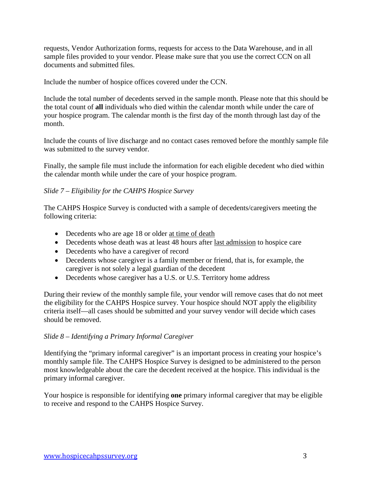requests, Vendor Authorization forms, requests for access to the Data Warehouse, and in all sample files provided to your vendor. Please make sure that you use the correct CCN on all documents and submitted files.

Include the number of hospice offices covered under the CCN.

Include the total number of decedents served in the sample month. Please note that this should be the total count of **all** individuals who died within the calendar month while under the care of your hospice program. The calendar month is the first day of the month through last day of the month.

Include the counts of live discharge and no contact cases removed before the monthly sample file was submitted to the survey vendor.

Finally, the sample file must include the information for each eligible decedent who died within the calendar month while under the care of your hospice program.

# *Slide 7 – Eligibility for the CAHPS Hospice Survey*

The CAHPS Hospice Survey is conducted with a sample of decedents/caregivers meeting the following criteria:

- Decedents who are age 18 or older at time of death
- Decedents whose death was at least 48 hours after last admission to hospice care
- Decedents who have a caregiver of record
- Decedents whose caregiver is a family member or friend, that is, for example, the caregiver is not solely a legal guardian of the decedent
- Decedents whose caregiver has a U.S. or U.S. Territory home address

During their review of the monthly sample file, your vendor will remove cases that do not meet the eligibility for the CAHPS Hospice survey. Your hospice should NOT apply the eligibility criteria itself—all cases should be submitted and your survey vendor will decide which cases should be removed.

## *Slide 8 – Identifying a Primary Informal Caregiver*

Identifying the "primary informal caregiver" is an important process in creating your hospice's monthly sample file. The CAHPS Hospice Survey is designed to be administered to the person most knowledgeable about the care the decedent received at the hospice. This individual is the primary informal caregiver.

Your hospice is responsible for identifying **one** primary informal caregiver that may be eligible to receive and respond to the CAHPS Hospice Survey.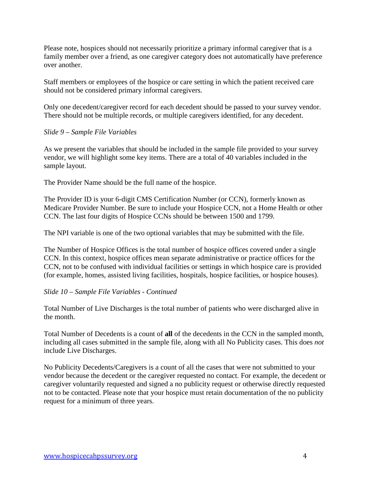Please note, hospices should not necessarily prioritize a primary informal caregiver that is a family member over a friend, as one caregiver category does not automatically have preference over another.

Staff members or employees of the hospice or care setting in which the patient received care should not be considered primary informal caregivers.

Only one decedent/caregiver record for each decedent should be passed to your survey vendor. There should not be multiple records, or multiple caregivers identified, for any decedent.

## *Slide 9 – Sample File Variables*

As we present the variables that should be included in the sample file provided to your survey vendor, we will highlight some key items. There are a total of 40 variables included in the sample layout.

The Provider Name should be the full name of the hospice.

The Provider ID is your 6-digit CMS Certification Number (or CCN), formerly known as Medicare Provider Number. Be sure to include your Hospice CCN, not a Home Health or other CCN. The last four digits of Hospice CCNs should be between 1500 and 1799.

The NPI variable is one of the two optional variables that may be submitted with the file.

The Number of Hospice Offices is the total number of hospice offices covered under a single CCN. In this context, hospice offices mean separate administrative or practice offices for the CCN, not to be confused with individual facilities or settings in which hospice care is provided (for example, homes, assisted living facilities, hospitals, hospice facilities, or hospice houses).

## *Slide 10 – Sample File Variables - Continued*

Total Number of Live Discharges is the total number of patients who were discharged alive in the month.

Total Number of Decedents is a count of **all** of the decedents in the CCN in the sampled month, including all cases submitted in the sample file, along with all No Publicity cases. This does *not*  include Live Discharges.

No Publicity Decedents/Caregivers is a count of all the cases that were not submitted to your vendor because the decedent or the caregiver requested no contact. For example, the decedent or caregiver voluntarily requested and signed a no publicity request or otherwise directly requested not to be contacted. Please note that your hospice must retain documentation of the no publicity request for a minimum of three years.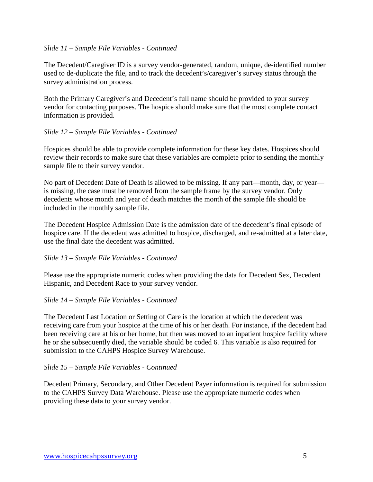### *Slide 11 – Sample File Variables - Continued*

The Decedent/Caregiver ID is a survey vendor-generated, random, unique, de-identified number used to de-duplicate the file, and to track the decedent's/caregiver's survey status through the survey administration process.

Both the Primary Caregiver's and Decedent's full name should be provided to your survey vendor for contacting purposes. The hospice should make sure that the most complete contact information is provided.

## *Slide 12 – Sample File Variables - Continued*

Hospices should be able to provide complete information for these key dates. Hospices should review their records to make sure that these variables are complete prior to sending the monthly sample file to their survey vendor.

No part of Decedent Date of Death is allowed to be missing. If any part—month, day, or year is missing, the case must be removed from the sample frame by the survey vendor. Only decedents whose month and year of death matches the month of the sample file should be included in the monthly sample file.

The Decedent Hospice Admission Date is the admission date of the decedent's final episode of hospice care. If the decedent was admitted to hospice, discharged, and re-admitted at a later date, use the final date the decedent was admitted.

#### *Slide 13 – Sample File Variables - Continued*

Please use the appropriate numeric codes when providing the data for Decedent Sex, Decedent Hispanic, and Decedent Race to your survey vendor.

#### *Slide 14 – Sample File Variables - Continued*

The Decedent Last Location or Setting of Care is the location at which the decedent was receiving care from your hospice at the time of his or her death. For instance, if the decedent had been receiving care at his or her home, but then was moved to an inpatient hospice facility where he or she subsequently died, the variable should be coded 6. This variable is also required for submission to the CAHPS Hospice Survey Warehouse.

#### *Slide 15 – Sample File Variables - Continued*

Decedent Primary, Secondary, and Other Decedent Payer information is required for submission to the CAHPS Survey Data Warehouse. Please use the appropriate numeric codes when providing these data to your survey vendor.